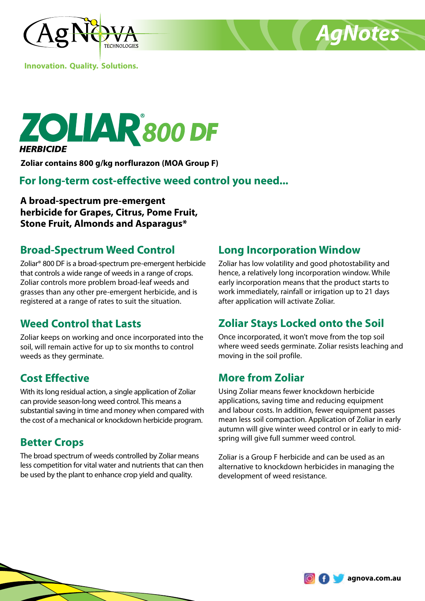

**Innovation. Quality. Solutions.**

# ZOLIAR<sup>800</sup>DF **HERBICIDE**

**Zoliar contains 800 g/kg norflurazon (MOA Group F)**

### **For long-term cost-effective weed control you need...**

**A broad-spectrum pre-emergent herbicide for Grapes, Citrus, Pome Fruit, Stone Fruit, Almonds and Asparagus\*** 

# **Broad-Spectrum Weed Control**

Zoliar® 800 DF is a broad-spectrum pre-emergent herbicide that controls a wide range of weeds in a range of crops. Zoliar controls more problem broad-leaf weeds and grasses than any other pre-emergent herbicide, and is registered at a range of rates to suit the situation.

# **Weed Control that Lasts**

Zoliar keeps on working and once incorporated into the soil, will remain active for up to six months to control weeds as they germinate.

# **Cost Effective**

With its long residual action, a single application of Zoliar can provide season-long weed control. This means a substantial saving in time and money when compared with the cost of a mechanical or knockdown herbicide program.

# **Better Crops**

The broad spectrum of weeds controlled by Zoliar means less competition for vital water and nutrients that can then be used by the plant to enhance crop yield and quality.

### **Long Incorporation Window**

Zoliar has low volatility and good photostability and hence, a relatively long incorporation window. While early incorporation means that the product starts to work immediately, rainfall or irrigation up to 21 days after application will activate Zoliar.

*AgNotes*

# **Zoliar Stays Locked onto the Soil**

Once incorporated, it won't move from the top soil where weed seeds germinate. Zoliar resists leaching and moving in the soil profile.

#### **More from Zoliar**

Using Zoliar means fewer knockdown herbicide applications, saving time and reducing equipment and labour costs. In addition, fewer equipment passes mean less soil compaction. Application of Zoliar in early autumn will give winter weed control or in early to midspring will give full summer weed control.

Zoliar is a Group F herbicide and can be used as an alternative to knockdown herbicides in managing the development of weed resistance.